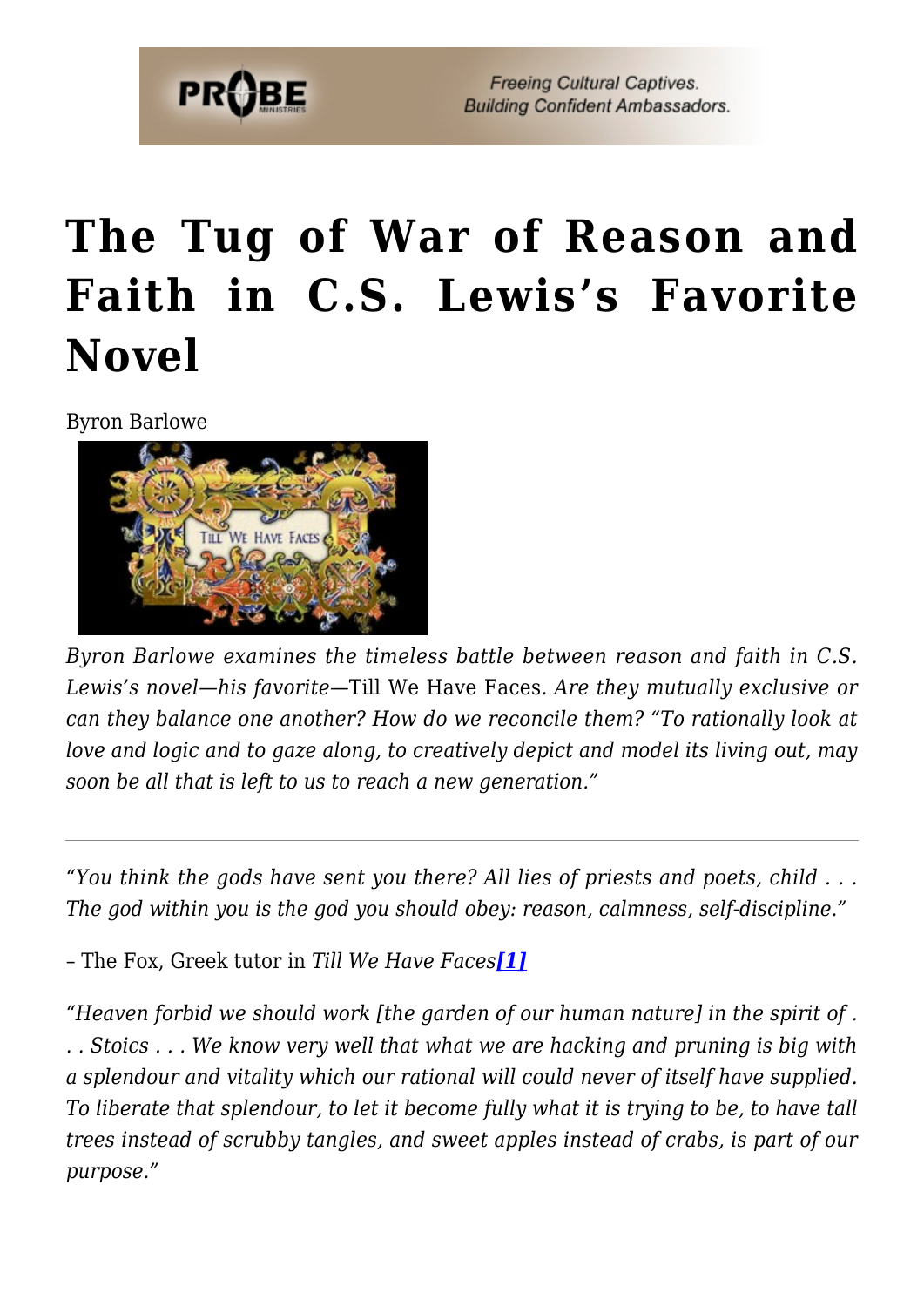

## **[The Tug of War of Reason and](https://probe.org/the-tug-of-war-of-reason-and-faith-in-c-s-lewiss-favorite-novel/) [Faith in C.S. Lewis's Favorite](https://probe.org/the-tug-of-war-of-reason-and-faith-in-c-s-lewiss-favorite-novel/) [Novel](https://probe.org/the-tug-of-war-of-reason-and-faith-in-c-s-lewiss-favorite-novel/)**

Byron Barlowe



*Byron Barlowe examines the timeless battle between reason and faith in C.S. Lewis's novel—his favorite—*Till We Have Faces*. Are they mutually exclusive or can they balance one another? How do we reconcile them? "To rationally look at love and logic and to gaze along, to creatively depict and model its living out, may soon be all that is left to us to reach a new generation."*

*"You think the gods have sent you there? All lies of priests and poets, child . . . The god within you is the god you should obey: reason, calmness, self-discipline."*

<span id="page-0-0"></span>– The Fox, Greek tutor in *Till We Have Faces[\[1\]](#page-8-0)*

<span id="page-0-1"></span>*"Heaven forbid we should work [the garden of our human nature] in the spirit of . . . Stoics . . . We know very well that what we are hacking and pruning is big with a splendour and vitality which our rational will could never of itself have supplied. To liberate that splendour, to let it become fully what it is trying to be, to have tall trees instead of scrubby tangles, and sweet apples instead of crabs, is part of our purpose."*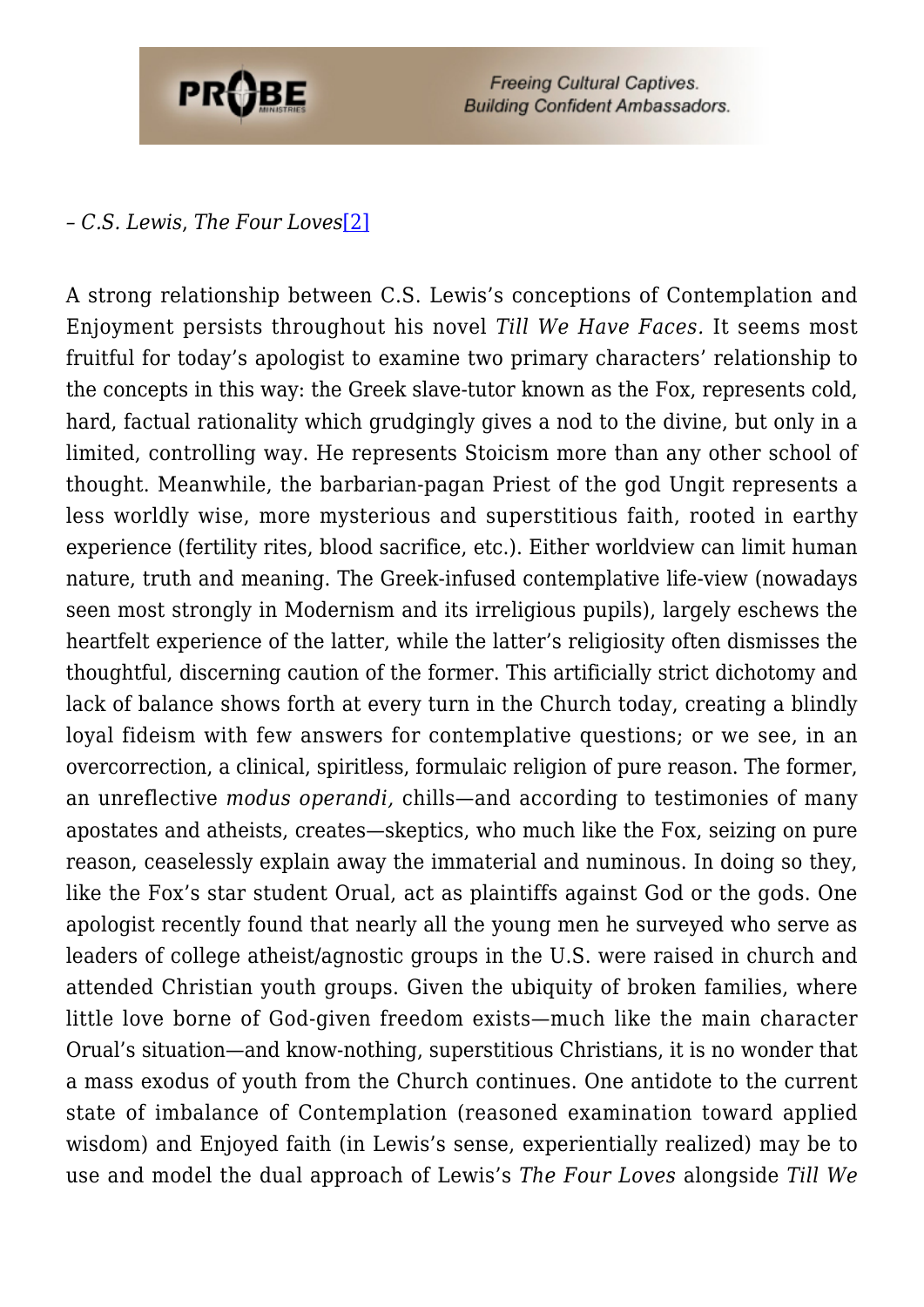

## *– C.S. Lewis*, *The Four Loves*[\[2\]](#page-8-1)

A strong relationship between C.S. Lewis's conceptions of Contemplation and Enjoyment persists throughout his novel *Till We Have Faces.* It seems most fruitful for today's apologist to examine two primary characters' relationship to the concepts in this way: the Greek slave-tutor known as the Fox, represents cold, hard, factual rationality which grudgingly gives a nod to the divine, but only in a limited, controlling way. He represents Stoicism more than any other school of thought. Meanwhile, the barbarian-pagan Priest of the god Ungit represents a less worldly wise, more mysterious and superstitious faith, rooted in earthy experience (fertility rites, blood sacrifice, etc.). Either worldview can limit human nature, truth and meaning. The Greek-infused contemplative life-view (nowadays seen most strongly in Modernism and its irreligious pupils), largely eschews the heartfelt experience of the latter, while the latter's religiosity often dismisses the thoughtful, discerning caution of the former. This artificially strict dichotomy and lack of balance shows forth at every turn in the Church today, creating a blindly loyal fideism with few answers for contemplative questions; or we see, in an overcorrection, a clinical, spiritless, formulaic religion of pure reason. The former, an unreflective *modus operandi,* chills—and according to testimonies of many apostates and atheists, creates—skeptics, who much like the Fox, seizing on pure reason, ceaselessly explain away the immaterial and numinous. In doing so they, like the Fox's star student Orual, act as plaintiffs against God or the gods. One apologist recently found that nearly all the young men he surveyed who serve as leaders of college atheist/agnostic groups in the U.S. were raised in church and attended Christian youth groups. Given the ubiquity of broken families, where little love borne of God-given freedom exists—much like the main character Orual's situation—and know-nothing, superstitious Christians, it is no wonder that a mass exodus of youth from the Church continues. One antidote to the current state of imbalance of Contemplation (reasoned examination toward applied wisdom) and Enjoyed faith (in Lewis's sense, experientially realized) may be to use and model the dual approach of Lewis's *The Four Loves* alongside *Till We*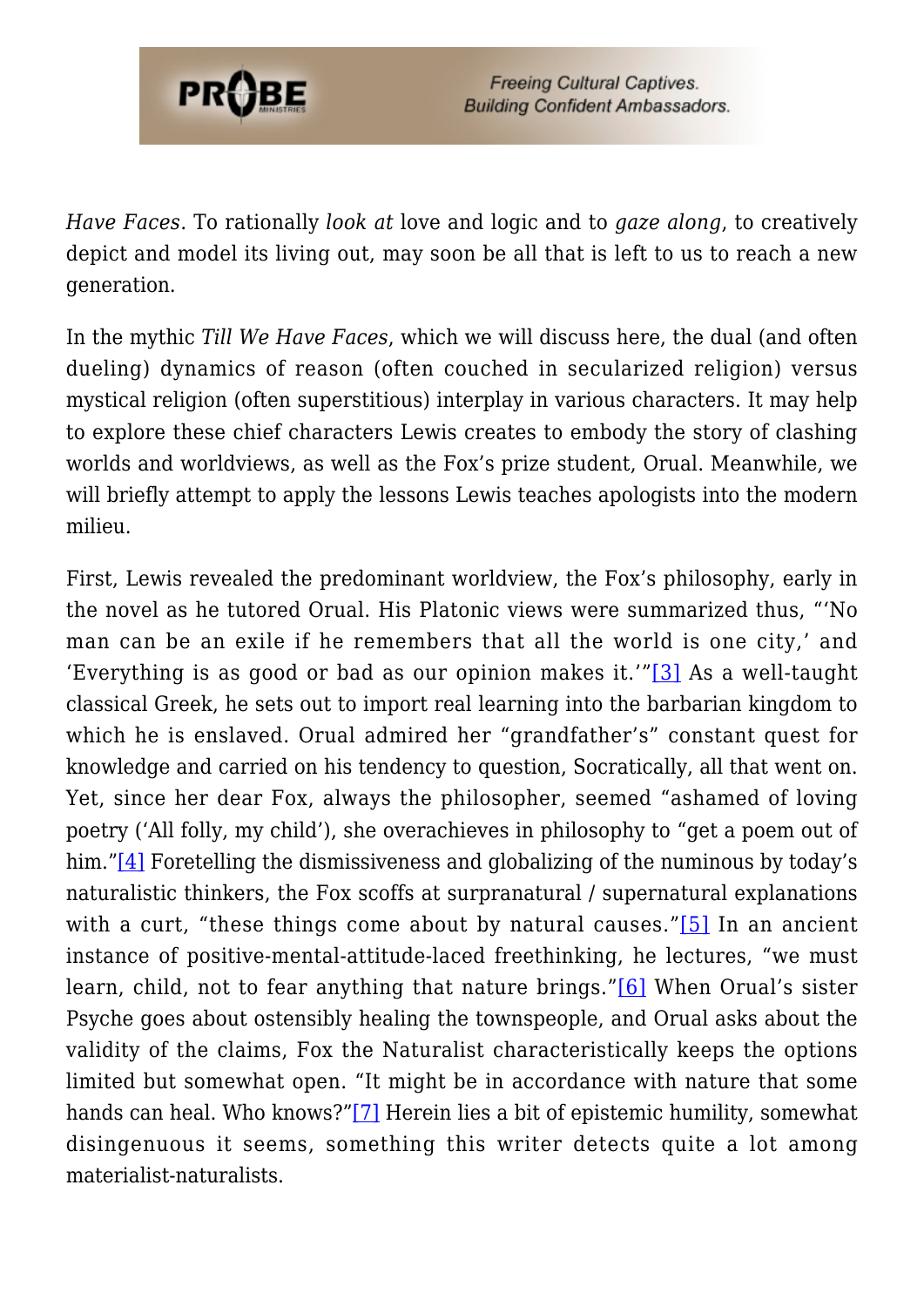

*Have Faces*. To rationally *look at* love and logic and to *gaze along*, to creatively depict and model its living out, may soon be all that is left to us to reach a new generation.

In the mythic *Till We Have Faces*, which we will discuss here, the dual (and often dueling) dynamics of reason (often couched in secularized religion) versus mystical religion (often superstitious) interplay in various characters. It may help to explore these chief characters Lewis creates to embody the story of clashing worlds and worldviews, as well as the Fox's prize student, Orual. Meanwhile, we will briefly attempt to apply the lessons Lewis teaches apologists into the modern milieu.

<span id="page-2-4"></span><span id="page-2-3"></span><span id="page-2-2"></span><span id="page-2-1"></span><span id="page-2-0"></span>First, Lewis revealed the predominant worldview, the Fox's philosophy, early in the novel as he tutored Orual. His Platonic views were summarized thus, "'No man can be an exile if he remembers that all the world is one city,' and 'Everything is as good or bad as our opinion makes it.'"[\[3\]](#page-9-0) As a well-taught classical Greek, he sets out to import real learning into the barbarian kingdom to which he is enslaved. Orual admired her "grandfather's" constant quest for knowledge and carried on his tendency to question, Socratically, all that went on. Yet, since her dear Fox, always the philosopher, seemed "ashamed of loving poetry ('All folly, my child'), she overachieves in philosophy to "get a poem out of him."[\[4\]](#page-9-1) Foretelling the dismissiveness and globalizing of the numinous by today's naturalistic thinkers, the Fox scoffs at surpranatural / supernatural explanations with a curt, "these things come about by natural causes." $[5]$  In an ancient instance of positive-mental-attitude-laced freethinking, he lectures, "we must learn, child, not to fear anything that nature brings."[\[6\]](#page-9-3) When Orual's sister Psyche goes about ostensibly healing the townspeople, and Orual asks about the validity of the claims, Fox the Naturalist characteristically keeps the options limited but somewhat open. "It might be in accordance with nature that some hands can heal. Who knows?["\[7\]](#page-9-4) Herein lies a bit of epistemic humility, somewhat disingenuous it seems, something this writer detects quite a lot among materialist-naturalists.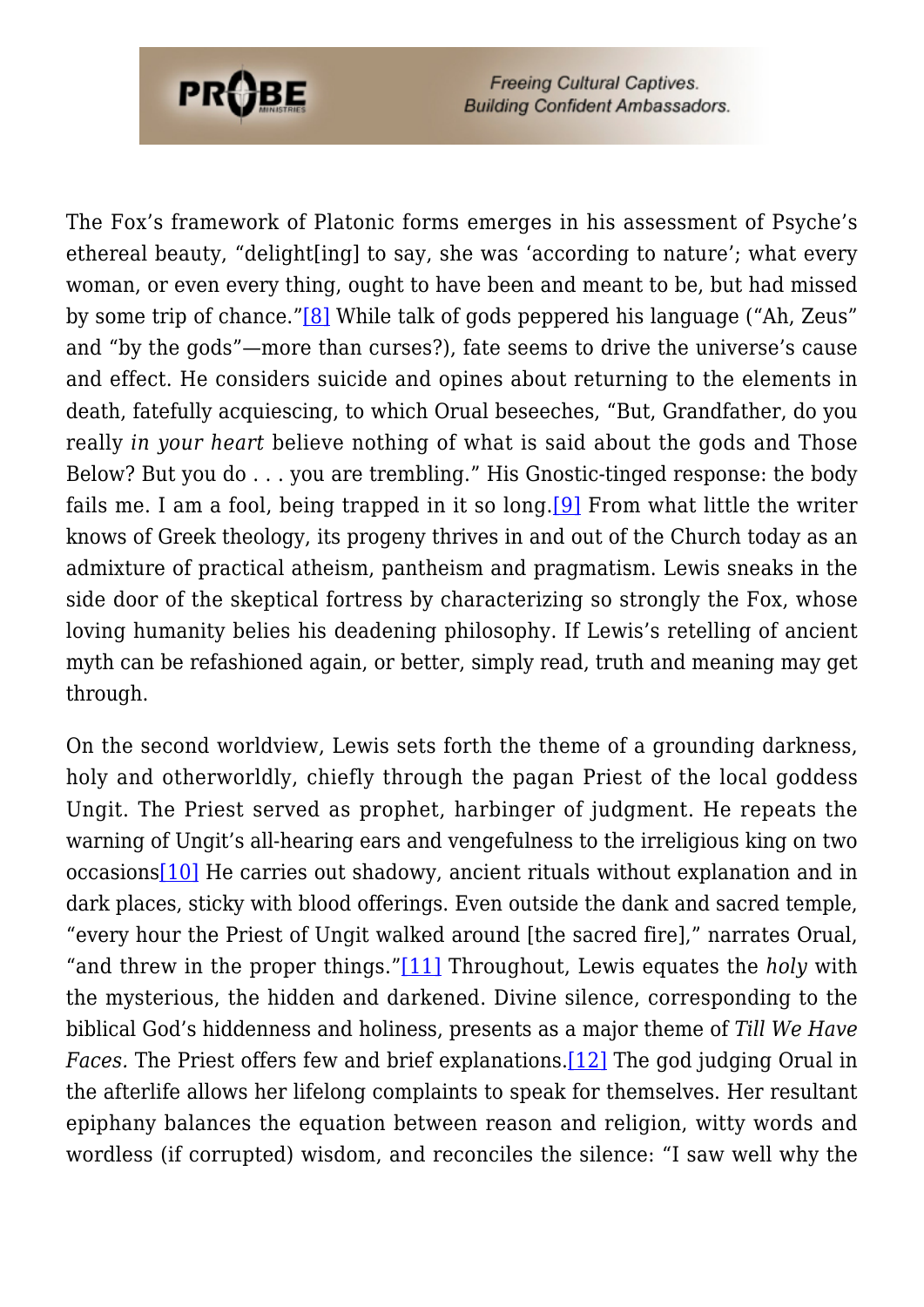

<span id="page-3-0"></span>The Fox's framework of Platonic forms emerges in his assessment of Psyche's ethereal beauty, "delight[ing] to say, she was 'according to nature'; what every woman, or even every thing, ought to have been and meant to be, but had missed by some trip of chance.["\[8\]](#page-9-5) While talk of gods peppered his language ("Ah, Zeus" and "by the gods"—more than curses?), fate seems to drive the universe's cause and effect. He considers suicide and opines about returning to the elements in death, fatefully acquiescing, to which Orual beseeches, "But, Grandfather, do you really *in your heart* believe nothing of what is said about the gods and Those Below? But you do . . . you are trembling." His Gnostic-tinged response: the body fails me. I am a fool, being trapped in it so  $\log$  [9] From what little the writer knows of Greek theology, its progeny thrives in and out of the Church today as an admixture of practical atheism, pantheism and pragmatism. Lewis sneaks in the side door of the skeptical fortress by characterizing so strongly the Fox, whose loving humanity belies his deadening philosophy. If Lewis's retelling of ancient myth can be refashioned again, or better, simply read, truth and meaning may get through.

<span id="page-3-4"></span><span id="page-3-3"></span><span id="page-3-2"></span><span id="page-3-1"></span>On the second worldview, Lewis sets forth the theme of a grounding darkness, holy and otherworldly, chiefly through the pagan Priest of the local goddess Ungit. The Priest served as prophet, harbinger of judgment. He repeats the warning of Ungit's all-hearing ears and vengefulness to the irreligious king on two occasions[\[10\]](#page-9-7) He carries out shadowy, ancient rituals without explanation and in dark places, sticky with blood offerings. Even outside the dank and sacred temple, "every hour the Priest of Ungit walked around [the sacred fire]," narrates Orual, "and threw in the proper things."[\[11\]](#page-9-8) Throughout, Lewis equates the *holy* with the mysterious, the hidden and darkened. Divine silence, corresponding to the biblical God's hiddenness and holiness, presents as a major theme of *Till We Have Faces.* The Priest offers few and brief explanations.[\[12\]](#page-9-9) The god judging Orual in the afterlife allows her lifelong complaints to speak for themselves. Her resultant epiphany balances the equation between reason and religion, witty words and wordless (if corrupted) wisdom, and reconciles the silence: "I saw well why the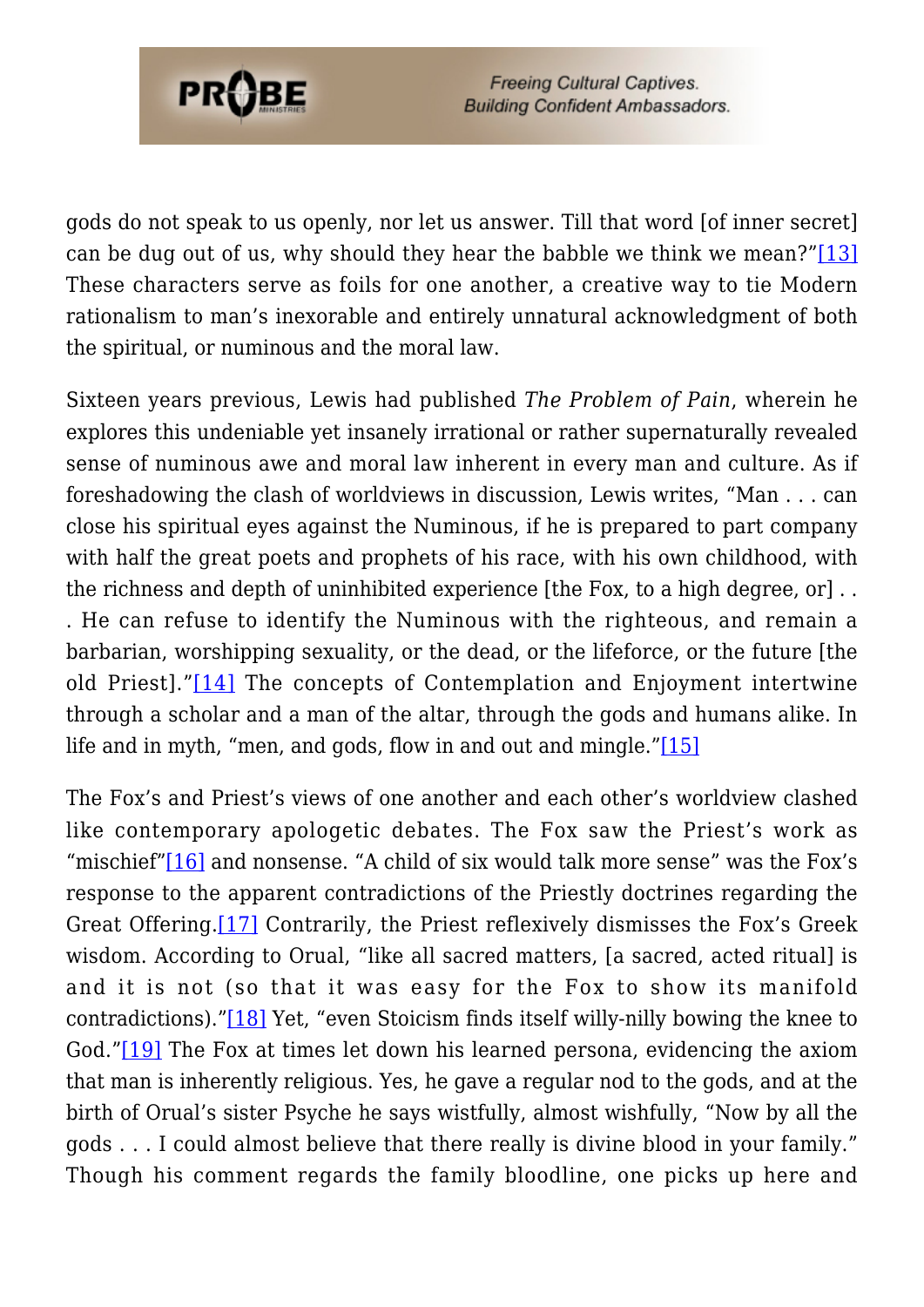

<span id="page-4-0"></span>gods do not speak to us openly, nor let us answer. Till that word [of inner secret] can be dug out of us, why should they hear the babble we think we mean?"[\[13\]](#page-9-10) These characters serve as foils for one another, a creative way to tie Modern rationalism to man's inexorable and entirely unnatural acknowledgment of both the spiritual, or numinous and the moral law.

Sixteen years previous, Lewis had published *The Problem of Pain*, wherein he explores this undeniable yet insanely irrational or rather supernaturally revealed sense of numinous awe and moral law inherent in every man and culture. As if foreshadowing the clash of worldviews in discussion, Lewis writes, "Man . . . can close his spiritual eyes against the Numinous, if he is prepared to part company with half the great poets and prophets of his race, with his own childhood, with the richness and depth of uninhibited experience [the Fox, to a high degree, or] . . . He can refuse to identify the Numinous with the righteous, and remain a barbarian, worshipping sexuality, or the dead, or the lifeforce, or the future [the old Priest]."[\[14\]](#page-9-11) The concepts of Contemplation and Enjoyment intertwine through a scholar and a man of the altar, through the gods and humans alike. In life and in myth, "men, and gods, flow in and out and mingle."[\[15\]](#page-9-12)

<span id="page-4-6"></span><span id="page-4-5"></span><span id="page-4-4"></span><span id="page-4-3"></span><span id="page-4-2"></span><span id="page-4-1"></span>The Fox's and Priest's views of one another and each other's worldview clashed like contemporary apologetic debates. The Fox saw the Priest's work as "mischief" $[16]$  and nonsense. "A child of six would talk more sense" was the Fox's response to the apparent contradictions of the Priestly doctrines regarding the Great Offering.[\[17\]](#page-9-14) Contrarily, the Priest reflexively dismisses the Fox's Greek wisdom. According to Orual, "like all sacred matters, [a sacred, acted ritual] is and it is not (so that it was easy for the Fox to show its manifold contradictions).["\[18\]](#page-9-15) Yet, "even Stoicism finds itself willy-nilly bowing the knee to God.["\[19\]](#page-9-16) The Fox at times let down his learned persona, evidencing the axiom that man is inherently religious. Yes, he gave a regular nod to the gods, and at the birth of Orual's sister Psyche he says wistfully, almost wishfully, "Now by all the gods . . . I could almost believe that there really is divine blood in your family." Though his comment regards the family bloodline, one picks up here and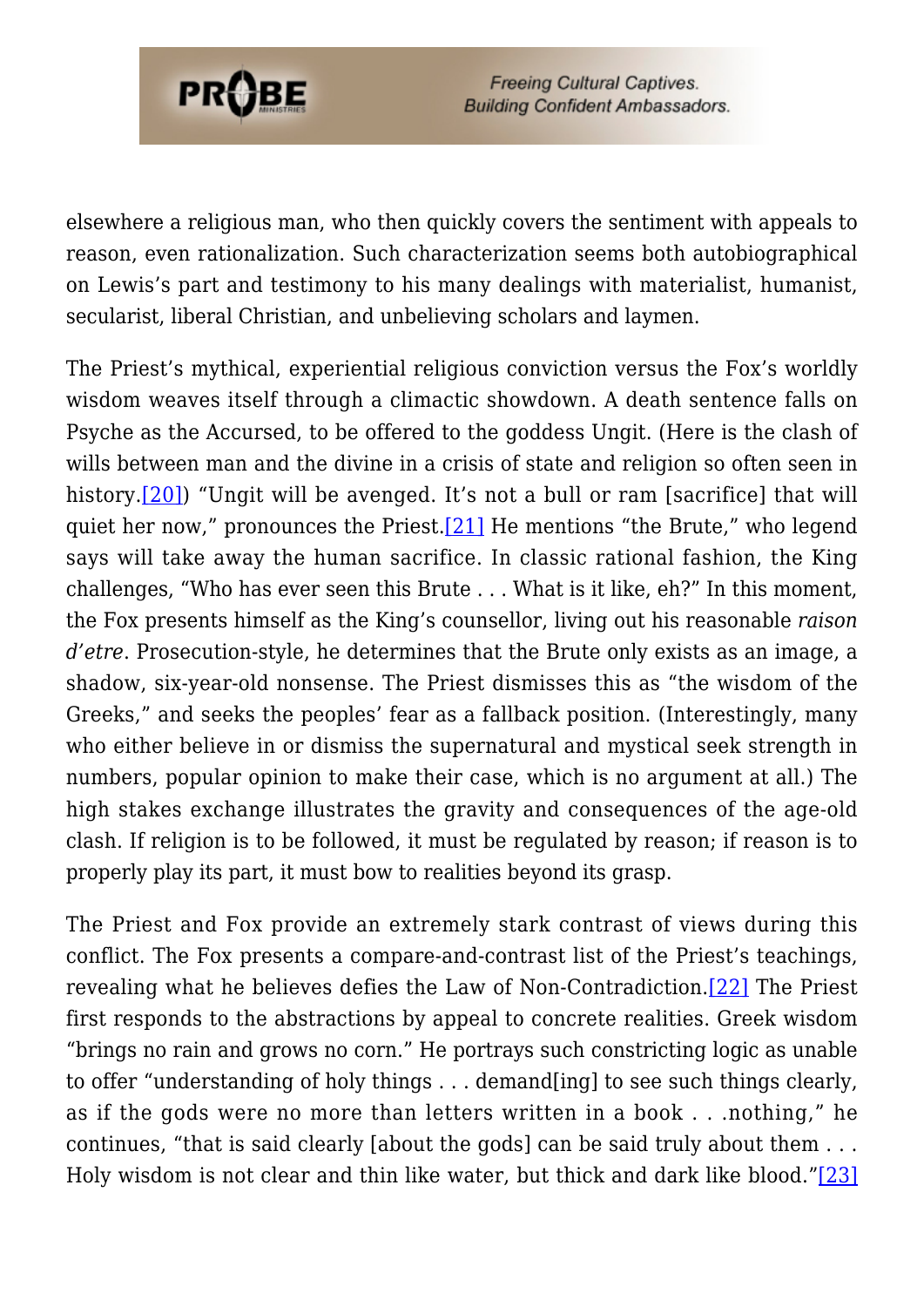

elsewhere a religious man, who then quickly covers the sentiment with appeals to reason, even rationalization. Such characterization seems both autobiographical on Lewis's part and testimony to his many dealings with materialist, humanist, secularist, liberal Christian, and unbelieving scholars and laymen.

<span id="page-5-1"></span><span id="page-5-0"></span>The Priest's mythical, experiential religious conviction versus the Fox's worldly wisdom weaves itself through a climactic showdown. A death sentence falls on Psyche as the Accursed, to be offered to the goddess Ungit. (Here is the clash of wills between man and the divine in a crisis of state and religion so often seen in history.[\[20\]\)](#page-9-17) "Ungit will be avenged. It's not a bull or ram [sacrifice] that will quiet her now," pronounces the Priest.[\[21\]](#page-10-0) He mentions "the Brute," who legend says will take away the human sacrifice. In classic rational fashion, the King challenges, "Who has ever seen this Brute . . . What is it like, eh?" In this moment, the Fox presents himself as the King's counsellor, living out his reasonable *raison d'etre*. Prosecution-style, he determines that the Brute only exists as an image, a shadow, six-year-old nonsense. The Priest dismisses this as "the wisdom of the Greeks," and seeks the peoples' fear as a fallback position. (Interestingly, many who either believe in or dismiss the supernatural and mystical seek strength in numbers, popular opinion to make their case, which is no argument at all.) The high stakes exchange illustrates the gravity and consequences of the age-old clash. If religion is to be followed, it must be regulated by reason; if reason is to properly play its part, it must bow to realities beyond its grasp.

<span id="page-5-3"></span><span id="page-5-2"></span>The Priest and Fox provide an extremely stark contrast of views during this conflict. The Fox presents a compare-and-contrast list of the Priest's teachings, revealing what he believes defies the Law of Non-Contradiction.[\[22\]](#page-10-1) The Priest first responds to the abstractions by appeal to concrete realities. Greek wisdom "brings no rain and grows no corn." He portrays such constricting logic as unable to offer "understanding of holy things . . . demand[ing] to see such things clearly, as if the gods were no more than letters written in a book . . .nothing," he continues, "that is said clearly [about the gods] can be said truly about them . . . Holy wisdom is not clear and thin like water, but thick and dark like blood.["\[23\]](#page-10-2)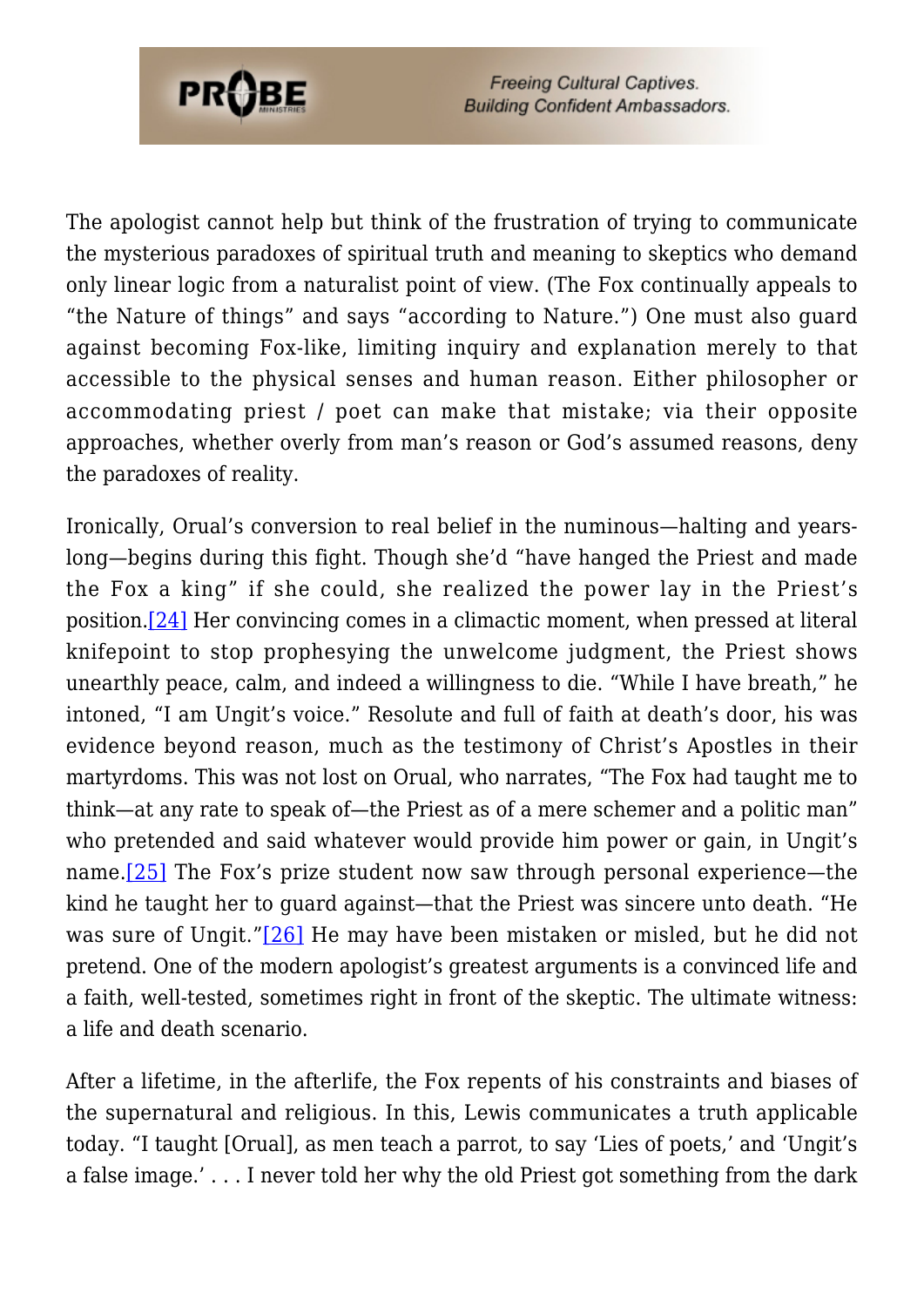

The apologist cannot help but think of the frustration of trying to communicate the mysterious paradoxes of spiritual truth and meaning to skeptics who demand only linear logic from a naturalist point of view. (The Fox continually appeals to "the Nature of things" and says "according to Nature.") One must also guard against becoming Fox-like, limiting inquiry and explanation merely to that accessible to the physical senses and human reason. Either philosopher or accommodating priest / poet can make that mistake; via their opposite approaches, whether overly from man's reason or God's assumed reasons, deny the paradoxes of reality.

<span id="page-6-0"></span>Ironically, Orual's conversion to real belief in the numinous—halting and yearslong—begins during this fight. Though she'd "have hanged the Priest and made the Fox a king" if she could, she realized the power lay in the Priest's position.[\[24\]](#page-10-3) Her convincing comes in a climactic moment, when pressed at literal knifepoint to stop prophesying the unwelcome judgment, the Priest shows unearthly peace, calm, and indeed a willingness to die. "While I have breath," he intoned, "I am Ungit's voice." Resolute and full of faith at death's door, his was evidence beyond reason, much as the testimony of Christ's Apostles in their martyrdoms. This was not lost on Orual, who narrates, "The Fox had taught me to think—at any rate to speak of—the Priest as of a mere schemer and a politic man" who pretended and said whatever would provide him power or gain, in Ungit's name[.\[25\]](#page-10-4) The Fox's prize student now saw through personal experience—the kind he taught her to guard against—that the Priest was sincere unto death. "He was sure of Ungit."[\[26\]](#page-10-5) He may have been mistaken or misled, but he did not pretend. One of the modern apologist's greatest arguments is a convinced life and a faith, well-tested, sometimes right in front of the skeptic. The ultimate witness: a life and death scenario.

<span id="page-6-2"></span><span id="page-6-1"></span>After a lifetime, in the afterlife, the Fox repents of his constraints and biases of the supernatural and religious. In this, Lewis communicates a truth applicable today. "I taught [Orual], as men teach a parrot, to say 'Lies of poets,' and 'Ungit's a false image.' . . . I never told her why the old Priest got something from the dark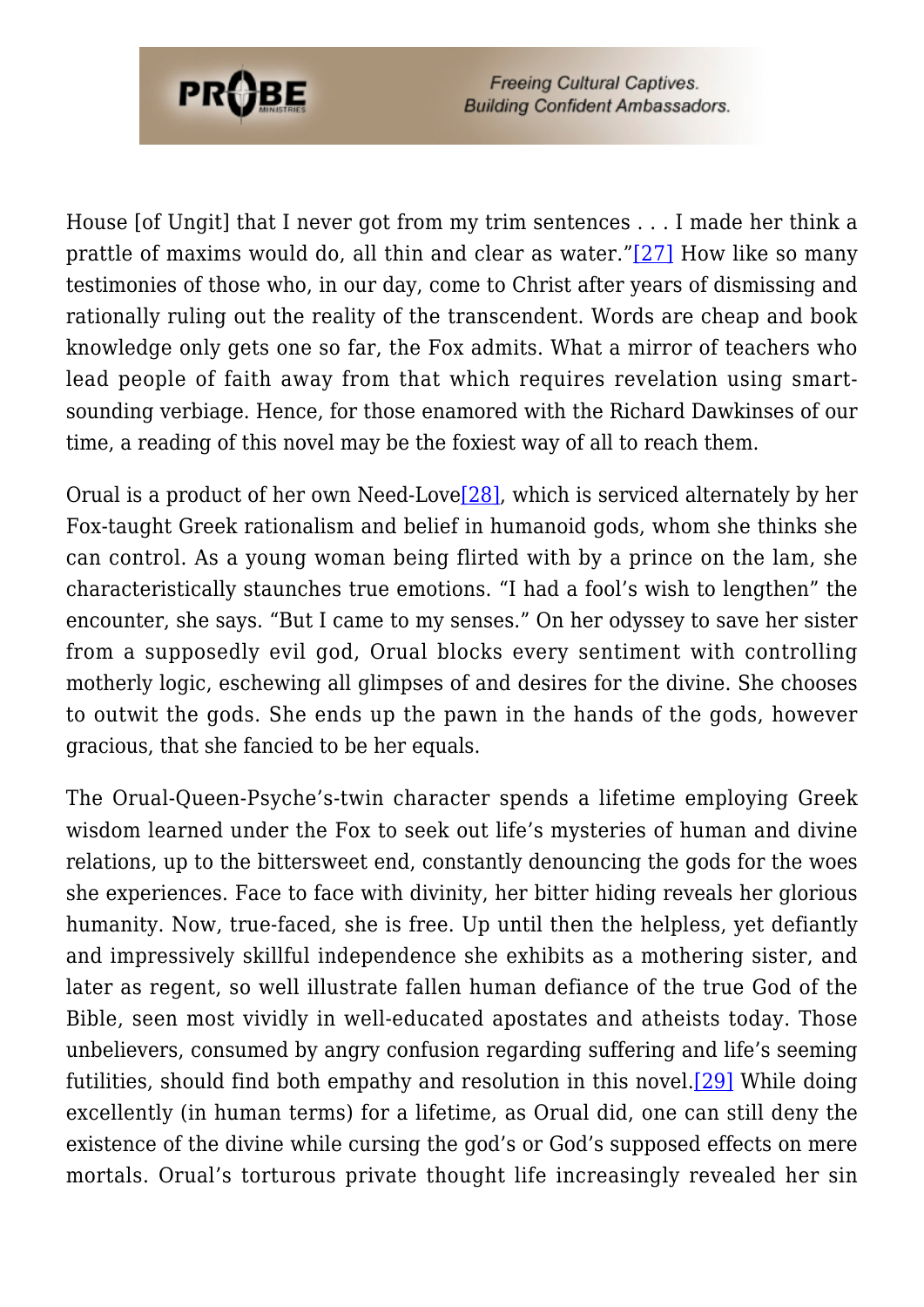

<span id="page-7-0"></span>House [of Ungit] that I never got from my trim sentences . . . I made her think a prattle of maxims would do, all thin and clear as water."[\[27\]](#page-10-6) How like so many testimonies of those who, in our day, come to Christ after years of dismissing and rationally ruling out the reality of the transcendent. Words are cheap and book knowledge only gets one so far, the Fox admits. What a mirror of teachers who lead people of faith away from that which requires revelation using smartsounding verbiage. Hence, for those enamored with the Richard Dawkinses of our time, a reading of this novel may be the foxiest way of all to reach them.

<span id="page-7-1"></span>Orual is a product of her own Need-Lov[e\[28\]](#page-10-7), which is serviced alternately by her Fox-taught Greek rationalism and belief in humanoid gods, whom she thinks she can control. As a young woman being flirted with by a prince on the lam, she characteristically staunches true emotions. "I had a fool's wish to lengthen" the encounter, she says. "But I came to my senses." On her odyssey to save her sister from a supposedly evil god, Orual blocks every sentiment with controlling motherly logic, eschewing all glimpses of and desires for the divine. She chooses to outwit the gods. She ends up the pawn in the hands of the gods, however gracious, that she fancied to be her equals.

<span id="page-7-2"></span>The Orual-Queen-Psyche's-twin character spends a lifetime employing Greek wisdom learned under the Fox to seek out life's mysteries of human and divine relations, up to the bittersweet end, constantly denouncing the gods for the woes she experiences. Face to face with divinity, her bitter hiding reveals her glorious humanity. Now, true-faced, she is free. Up until then the helpless, yet defiantly and impressively skillful independence she exhibits as a mothering sister, and later as regent, so well illustrate fallen human defiance of the true God of the Bible, seen most vividly in well-educated apostates and atheists today. Those unbelievers, consumed by angry confusion regarding suffering and life's seeming futilities, should find both empathy and resolution in this novel[.\[29\]](#page-10-8) While doing excellently (in human terms) for a lifetime, as Orual did, one can still deny the existence of the divine while cursing the god's or God's supposed effects on mere mortals. Orual's torturous private thought life increasingly revealed her sin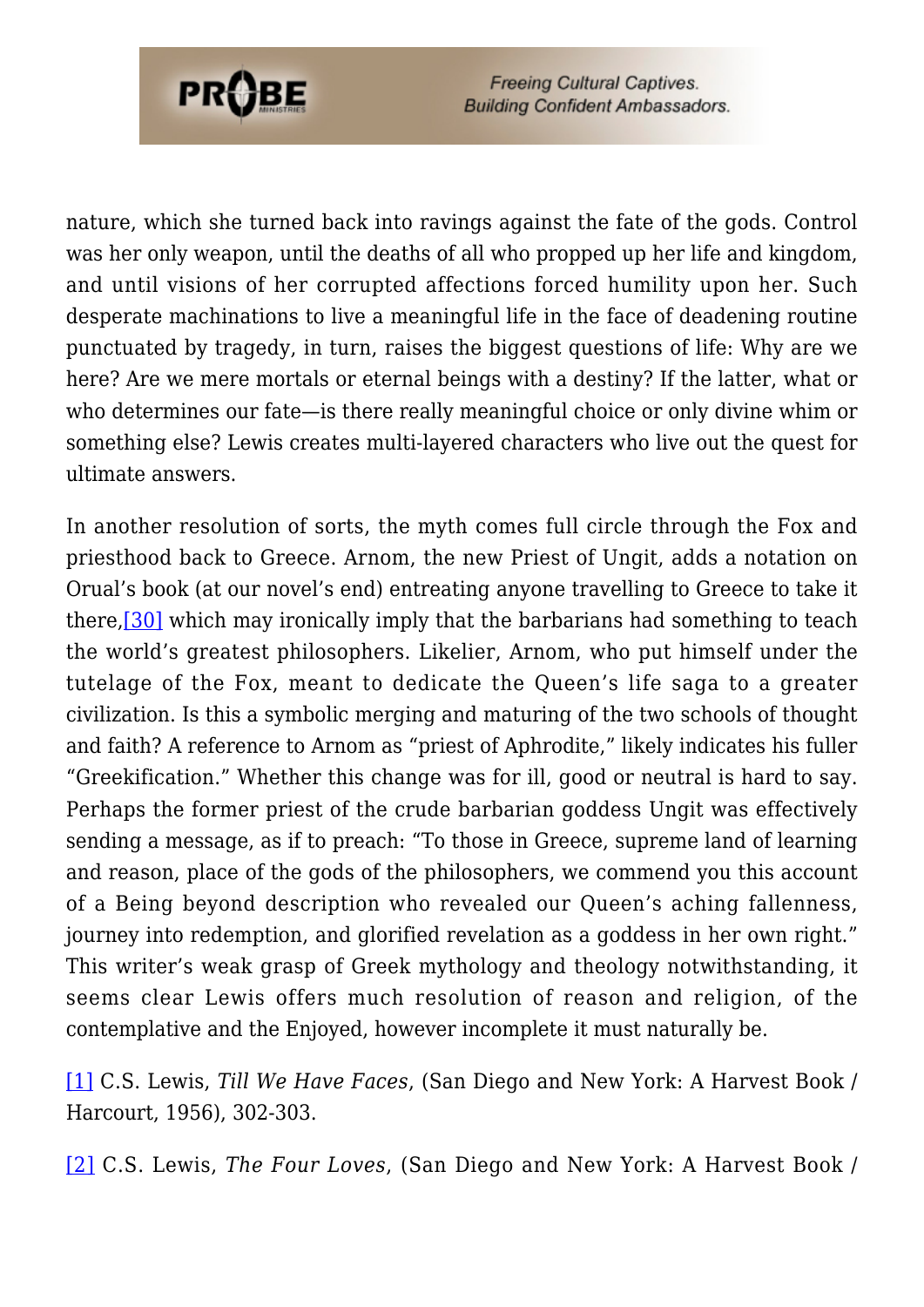

nature, which she turned back into ravings against the fate of the gods. Control was her only weapon, until the deaths of all who propped up her life and kingdom, and until visions of her corrupted affections forced humility upon her. Such desperate machinations to live a meaningful life in the face of deadening routine punctuated by tragedy, in turn, raises the biggest questions of life: Why are we here? Are we mere mortals or eternal beings with a destiny? If the latter, what or who determines our fate—is there really meaningful choice or only divine whim or something else? Lewis creates multi-layered characters who live out the quest for ultimate answers.

<span id="page-8-2"></span>In another resolution of sorts, the myth comes full circle through the Fox and priesthood back to Greece. Arnom, the new Priest of Ungit, adds a notation on Orual's book (at our novel's end) entreating anyone travelling to Greece to take it there,[\[30\]](#page-10-9) which may ironically imply that the barbarians had something to teach the world's greatest philosophers. Likelier, Arnom, who put himself under the tutelage of the Fox, meant to dedicate the Queen's life saga to a greater civilization. Is this a symbolic merging and maturing of the two schools of thought and faith? A reference to Arnom as "priest of Aphrodite," likely indicates his fuller "Greekification." Whether this change was for ill, good or neutral is hard to say. Perhaps the former priest of the crude barbarian goddess Ungit was effectively sending a message, as if to preach: "To those in Greece, supreme land of learning and reason, place of the gods of the philosophers, we commend you this account of a Being beyond description who revealed our Queen's aching fallenness, journey into redemption, and glorified revelation as a goddess in her own right." This writer's weak grasp of Greek mythology and theology notwithstanding, it seems clear Lewis offers much resolution of reason and religion, of the contemplative and the Enjoyed, however incomplete it must naturally be.

<span id="page-8-0"></span>[\[1\]](#page-0-0) C.S. Lewis, *Till We Have Faces*, (San Diego and New York: A Harvest Book / Harcourt, 1956), 302-303.

<span id="page-8-1"></span>[\[2\]](#page-0-1) C.S. Lewis, *The Four Loves*, (San Diego and New York: A Harvest Book /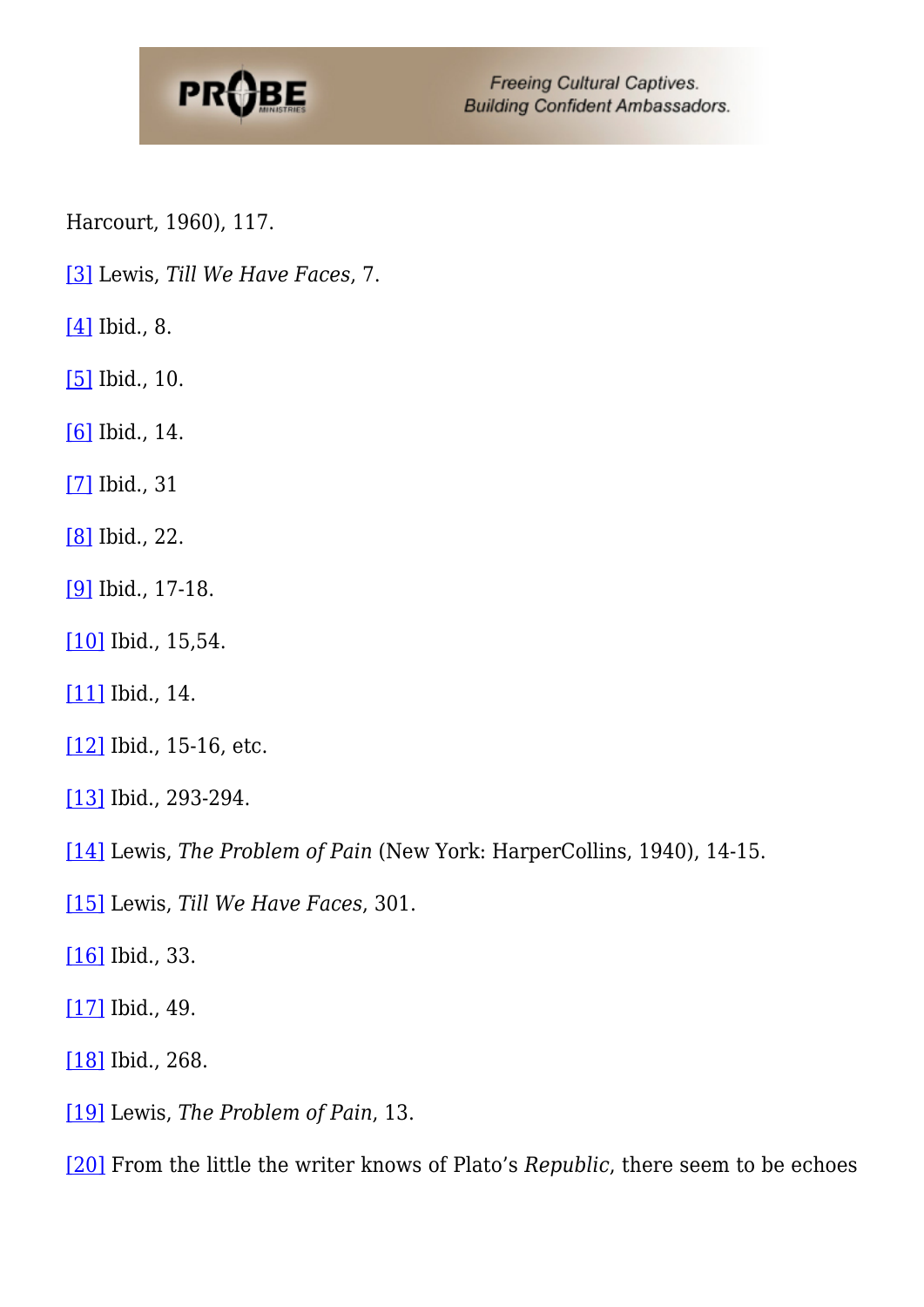

Harcourt, 1960), 117.

- <span id="page-9-0"></span>[\[3\]](#page-2-0) Lewis, *Till We Have Faces*, 7.
- <span id="page-9-1"></span>[\[4\]](#page-2-1) Ibid., 8.
- <span id="page-9-2"></span>[\[5\]](#page-2-2) Ibid., 10.
- <span id="page-9-3"></span>[\[6\]](#page-2-3) Ibid., 14.
- <span id="page-9-4"></span>[\[7\]](#page-2-4) Ibid., 31
- <span id="page-9-5"></span>[\[8\]](#page-3-0) Ibid., 22.
- <span id="page-9-6"></span>[\[9\]](#page-3-1) Ibid., 17-18.
- <span id="page-9-7"></span>[\[10\]](#page-3-2) Ibid., 15,54.
- <span id="page-9-8"></span>[\[11\]](#page-3-3) Ibid., 14.
- <span id="page-9-9"></span>[\[12\]](#page-3-4) Ibid., 15-16, etc.
- <span id="page-9-10"></span>[\[13\]](#page-4-0) Ibid., 293-294.
- <span id="page-9-11"></span>[\[14\]](#page-4-1) Lewis, *The Problem of Pain* (New York: HarperCollins, 1940), 14-15.
- <span id="page-9-12"></span>[\[15\]](#page-4-2) Lewis, *Till We Have Faces*, 301.
- <span id="page-9-13"></span>[\[16\]](#page-4-3) Ibid., 33.
- <span id="page-9-14"></span>[\[17\]](#page-4-4) Ibid., 49.
- <span id="page-9-15"></span>[\[18\]](#page-4-5) Ibid., 268.
- <span id="page-9-16"></span>[\[19\]](#page-4-6) Lewis, *The Problem of Pain*, 13.
- <span id="page-9-17"></span>[\[20\]](#page-5-0) From the little the writer knows of Plato's *Republic*, there seem to be echoes